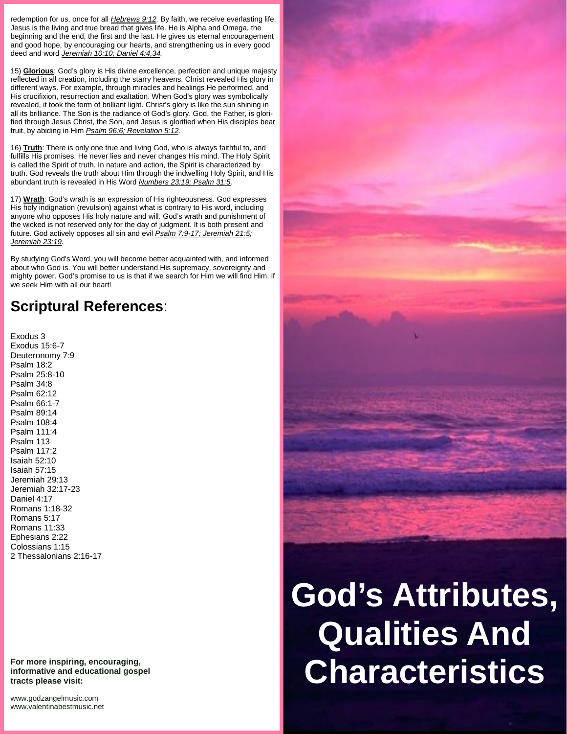redemption for us, once for all *Hebrews 9:12.* By faith, we receive everlasting life. Jesus is the living and true bread that gives life. He is Alpha and Omega, the beginning and the end, the first and the last. He gives us eternal encouragement and good hope, by encouraging our hearts, and strengthening us in every good deed and word *Jeremiah 10:10; Daniel 4:4,34.*

15) **Glorious**: God's glory is His divine excellence, perfection and unique majesty reflected in all creation, including the starry heavens. Christ revealed His glory in different ways. For example, through miracles and healings He performed, and His crucifixion, resurrection and exaltation. When God's glory was symbolically revealed, it took the form of brilliant light. Christ's glory is like the sun shining in all its brilliance. The Son is the radiance of God's glory. God, the Father, is glorified through Jesus Christ, the Son, and Jesus is glorified when His disciples bear fruit, by abiding in Him *Psalm 96:6; Revelation 5:12.*

16) **Truth**: There is only one true and living God, who is always faithful to, and fulfills His promises. He never lies and never changes His mind. The Holy Spirit is called the Spirit of truth. In nature and action, the Spirit is characterized by truth. God reveals the truth about Him through the indwelling Holy Spirit, and His abundant truth is revealed in His Word *Numbers 23:19; Psalm 31:5.*

17) **Wrath**: God's wrath is an expression of His righteousness. God expresses His holy indignation (revulsion) against what is contrary to His word, including anyone who opposes His holy nature and will. God's wrath and punishment of the wicked is not reserved only for the day of judgment. It is both present and future. God actively opposes all sin and evil *Psalm 7:9-17; Jeremiah 21:5; Jeremiah 23:19.*

By studying God's Word, you will become better acquainted with, and informed about who God is. You will better understand His supremacy, sovereignty and mighty power. God's promise to us is that if we search for Him we will find Him, if we seek Him with all our heart!

## **Scriptural References**:

Exodus 3 Exodus 15:6-7 Deuteronomy 7:9 Psalm 18:2 Psalm 25:8-10 Psalm 34:8 Psalm 62:12 Psalm 66:1-7 Psalm 89:14 Psalm 108:4 Psalm 111:4 Psalm 113 Psalm 117:2 Isaiah 52:10 Isaiah 57:15 Jeremiah 29:13 Jeremiah 32:17-23 Daniel 4:17 Romans 1:18-32 Romans 5:17 Romans 11:33 Ephesians 2:22 Colossians 1:15 2 Thessalonians 2:16-17

**For more inspiring, encouraging, informative and educational gospel tracts please visit:**

<www.godzangelmusic.com> <www.valentinabestmusic.net>



## **God's Attributes, Qualities And Characteristics**